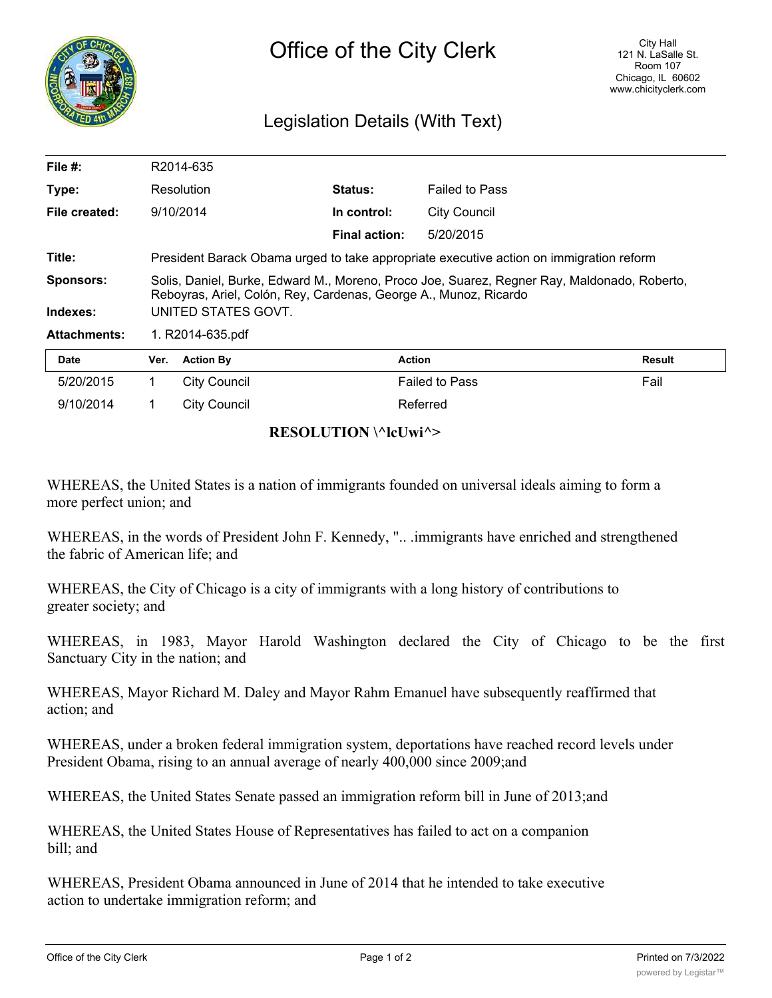

## Legislation Details (With Text)

| File #:             |                     | R2014-635                                                                                                                                                       |                      |                       |        |  |
|---------------------|---------------------|-----------------------------------------------------------------------------------------------------------------------------------------------------------------|----------------------|-----------------------|--------|--|
| Type:               |                     | Resolution                                                                                                                                                      | <b>Status:</b>       | <b>Failed to Pass</b> |        |  |
| File created:       |                     | 9/10/2014                                                                                                                                                       | In control:          | <b>City Council</b>   |        |  |
|                     |                     |                                                                                                                                                                 | <b>Final action:</b> | 5/20/2015             |        |  |
| Title:              |                     | President Barack Obama urged to take appropriate executive action on immigration reform                                                                         |                      |                       |        |  |
| <b>Sponsors:</b>    |                     | Solis, Daniel, Burke, Edward M., Moreno, Proco Joe, Suarez, Regner Ray, Maldonado, Roberto,<br>Reboyras, Ariel, Colón, Rey, Cardenas, George A., Munoz, Ricardo |                      |                       |        |  |
| Indexes:            | UNITED STATES GOVT. |                                                                                                                                                                 |                      |                       |        |  |
| <b>Attachments:</b> | 1. R2014-635.pdf    |                                                                                                                                                                 |                      |                       |        |  |
| <b>Date</b>         | Ver.                | <b>Action By</b>                                                                                                                                                | <b>Action</b>        |                       | Result |  |
| 5/20/2015           | 1                   | City Council                                                                                                                                                    |                      | <b>Failed to Pass</b> | Fail   |  |
| 9/10/2014           |                     | <b>City Council</b>                                                                                                                                             |                      | Referred              |        |  |

## **RESOLUTION \^lcUwi^>**

WHEREAS, the United States is a nation of immigrants founded on universal ideals aiming to form a more perfect union; and

WHEREAS, in the words of President John F. Kennedy, ".. .immigrants have enriched and strengthened the fabric of American life; and

WHEREAS, the City of Chicago is a city of immigrants with a long history of contributions to greater society; and

WHEREAS, in 1983, Mayor Harold Washington declared the City of Chicago to be the first Sanctuary City in the nation; and

WHEREAS, Mayor Richard M. Daley and Mayor Rahm Emanuel have subsequently reaffirmed that action; and

WHEREAS, under a broken federal immigration system, deportations have reached record levels under President Obama, rising to an annual average of nearly 400,000 since 2009;and

WHEREAS, the United States Senate passed an immigration reform bill in June of 2013;and

WHEREAS, the United States House of Representatives has failed to act on a companion bill; and

WHEREAS, President Obama announced in June of 2014 that he intended to take executive action to undertake immigration reform; and